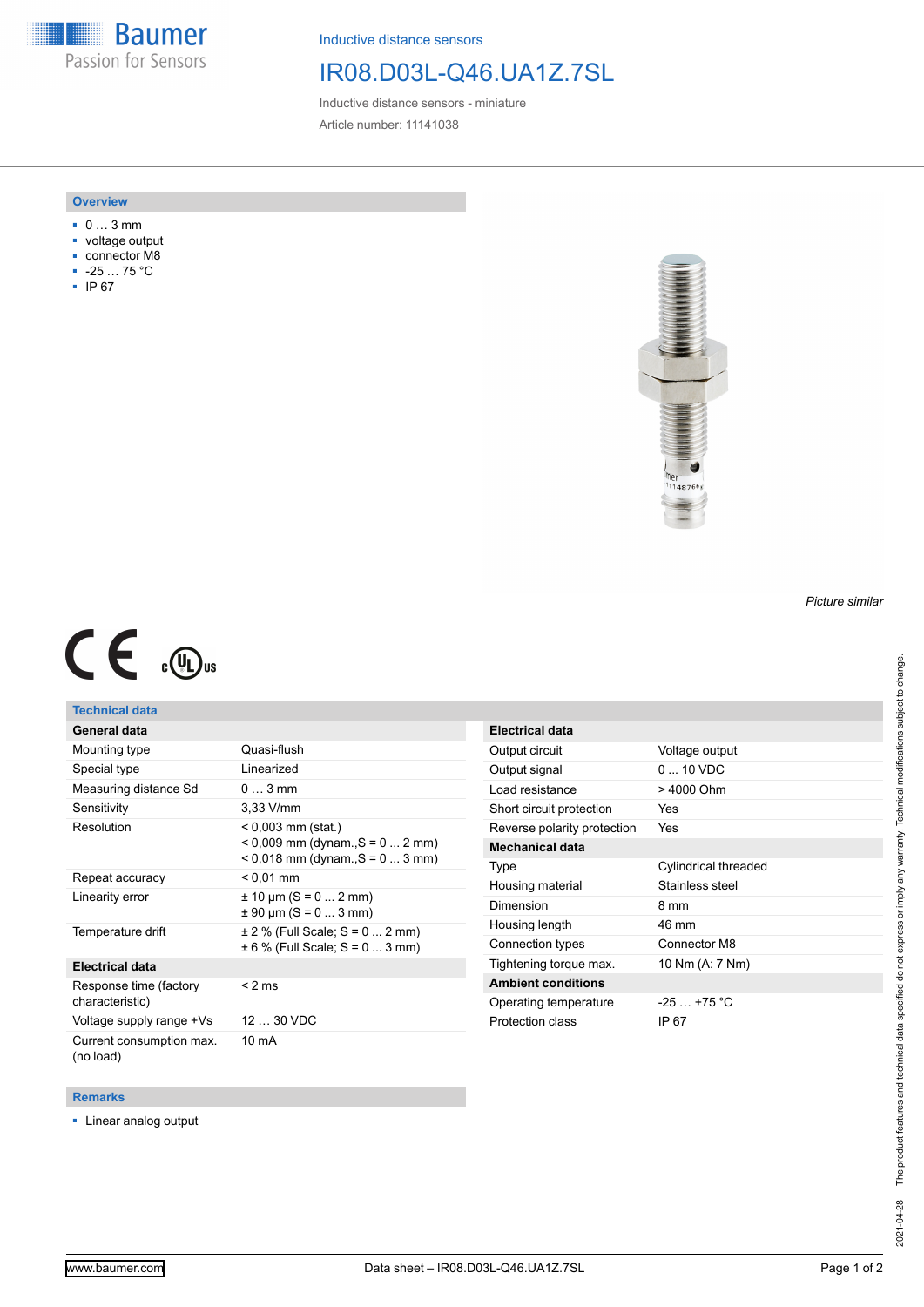**Baumer** Passion for Sensors

Inductive distance sensors

## IR08.D03L-Q46.UA1Z.7SL

Inductive distance sensors - miniature Article number: 11141038

### **Overview**

- 0 … 3 mm
- voltage output
- connector M8
- -25 … 75 °C
- IP 67



# $C \in \mathbb{C}$

## **Technical data**

| General data                              |                                                                                                |
|-------------------------------------------|------------------------------------------------------------------------------------------------|
| Mounting type                             | Quasi-flush                                                                                    |
| Special type                              | Linearized                                                                                     |
| Measuring distance Sd                     | $03$ mm                                                                                        |
| Sensitivity                               | $3.33$ V/mm                                                                                    |
| Resolution                                | < 0,003 mm (stat.)<br>$< 0.009$ mm (dynam., S = 0  2 mm)<br>$< 0.018$ mm (dynam., S = 0  3 mm) |
| Repeat accuracy                           | $< 0.01$ mm                                                                                    |
| Linearity error                           | $\pm$ 10 µm (S = 0  2 mm)<br>$\pm$ 90 µm (S = 0  3 mm)                                         |
| Temperature drift                         | $\pm$ 2 % (Full Scale; S = 0  2 mm)<br>$\pm 6$ % (Full Scale; S = 0  3 mm)                     |
| <b>Electrical data</b>                    |                                                                                                |
| Response time (factory<br>characteristic) | $<$ 2 ms                                                                                       |
| Voltage supply range +Vs                  | 12  30 VDC                                                                                     |
| Current consumption max.<br>(no load)     | 10 mA                                                                                          |

| <b>Electrical data</b>      |                          |
|-----------------------------|--------------------------|
| Output circuit              | Voltage output           |
| Output signal               | $0 \dots 10 \text{ VDC}$ |
| Load resistance             | > 4000 Ohm               |
| Short circuit protection    | Yes                      |
| Reverse polarity protection | Yes                      |
| <b>Mechanical data</b>      |                          |
| Type                        | Cylindrical threaded     |
| Housing material            | Stainless steel          |
| Dimension                   | 8 mm                     |
| Housing length              | 46 mm                    |
| Connection types            | Connector M8             |
| Tightening torque max.      | 10 Nm (A: 7 Nm)          |
| <b>Ambient conditions</b>   |                          |
| Operating temperature       | $-25$ $+75$ °C           |
| Protection class            | IP 67                    |

#### **Remarks**

■ Linear analog output

*Picture similar*